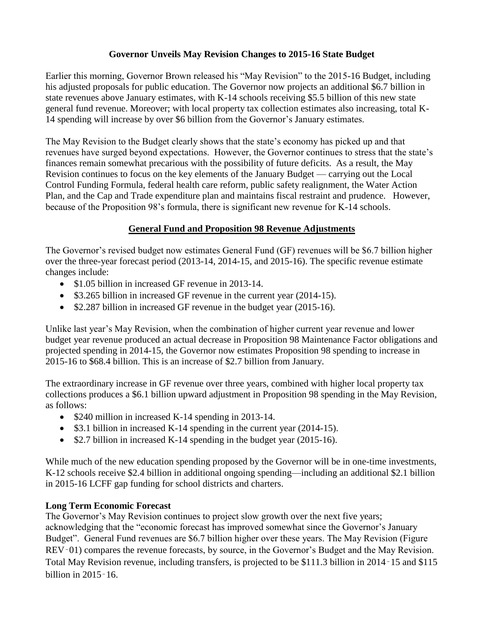#### **Governor Unveils May Revision Changes to 2015-16 State Budget**

Earlier this morning, Governor Brown released his "May Revision" to the 2015-16 Budget, including his adjusted proposals for public education. The Governor now projects an additional \$6.7 billion in state revenues above January estimates, with K-14 schools receiving \$5.5 billion of this new state general fund revenue. Moreover; with local property tax collection estimates also increasing, total K-14 spending will increase by over \$6 billion from the Governor's January estimates.

The May Revision to the Budget clearly shows that the state's economy has picked up and that revenues have surged beyond expectations. However, the Governor continues to stress that the state's finances remain somewhat precarious with the possibility of future deficits. As a result, the May Revision continues to focus on the key elements of the January Budget — carrying out the Local Control Funding Formula, federal health care reform, public safety realignment, the Water Action Plan, and the Cap and Trade expenditure plan and maintains fiscal restraint and prudence. However, because of the Proposition 98's formula, there is significant new revenue for K-14 schools.

#### **General Fund and Proposition 98 Revenue Adjustments**

The Governor's revised budget now estimates General Fund (GF) revenues will be \$6.7 billion higher over the three-year forecast period (2013-14, 2014-15, and 2015-16). The specific revenue estimate changes include:

- \$1.05 billion in increased GF revenue in 2013-14.
- \$3.265 billion in increased GF revenue in the current year (2014-15).
- \$2.287 billion in increased GF revenue in the budget year (2015-16).

Unlike last year's May Revision, when the combination of higher current year revenue and lower budget year revenue produced an actual decrease in Proposition 98 Maintenance Factor obligations and projected spending in 2014-15, the Governor now estimates Proposition 98 spending to increase in 2015-16 to \$68.4 billion. This is an increase of \$2.7 billion from January.

The extraordinary increase in GF revenue over three years, combined with higher local property tax collections produces a \$6.1 billion upward adjustment in Proposition 98 spending in the May Revision, as follows:

- \$240 million in increased K-14 spending in 2013-14.
- \$3.1 billion in increased K-14 spending in the current year (2014-15).
- $\bullet$  \$2.7 billion in increased K-14 spending in the budget year (2015-16).

While much of the new education spending proposed by the Governor will be in one-time investments, K-12 schools receive \$2.4 billion in additional ongoing spending—including an additional \$2.1 billion in 2015-16 LCFF gap funding for school districts and charters.

# **Long Term Economic Forecast**

The Governor's May Revision continues to project slow growth over the next five years; acknowledging that the "economic forecast has improved somewhat since the Governor's January Budget". General Fund revenues are \$6.7 billion higher over these years. The May Revision (Figure REV–01) compares the revenue forecasts, by source, in the Governor's Budget and the May Revision. Total May Revision revenue, including transfers, is projected to be \$111.3 billion in 2014‑15 and \$115 billion in 2015‑16.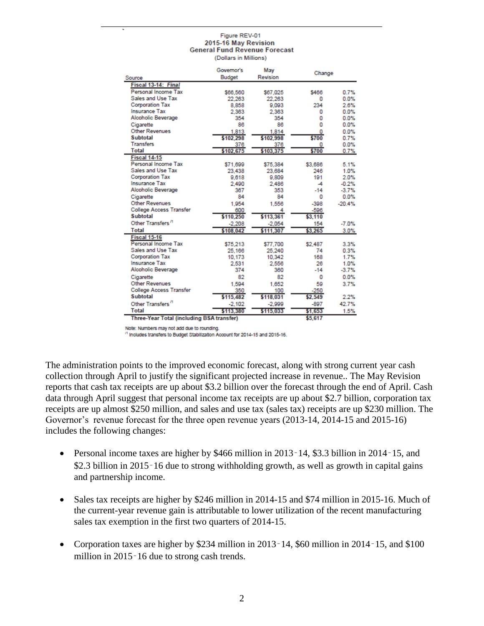#### Figure REV-01 2015-16 May Revision **General Fund Revenue Forecast**

(Dollars in Millions)

|                                           | Governor's | May       | Change  |          |
|-------------------------------------------|------------|-----------|---------|----------|
| Source                                    | Budget     | Revision  |         |          |
| Fiscal 13-14: Final                       |            |           |         |          |
| Personal Income Tax                       | \$66,560   | \$67,025  | \$466   | 0.7%     |
| Sales and Use Tax                         | 22.263     | 22.263    | o       | 0.0%     |
| <b>Corporation Tax</b>                    | 8,858      | 9,093     | 234     | 2.6%     |
| <b>Insurance Tax</b>                      | 2,363      | 2.363     | o       | 0.0%     |
| <b>Alcoholic Beverage</b>                 | 354        | 354       | 0       | 0.0%     |
| Cigarette                                 | 86         | 86        | ٥       | 0.0%     |
| <b>Other Revenues</b>                     | 1.813      | 1,814     | 0       | 0.0%     |
| <b>Subtotal</b>                           | \$102,298  | \$102,998 | \$700   | 0.7%     |
| <b>Transfers</b>                          | 376        | 376       | 0       | 0.0%     |
| <b>Total</b>                              | \$102,675  | \$103,375 | \$700   | 0.7%     |
| Fiscal 14-15                              |            |           |         |          |
| Personal Income Tax                       | \$71,699   | \$75,384  | \$3,686 | 5.1%     |
| Sales and Use Tax                         | 23,438     | 23,684    | 246     | 1.0%     |
| <b>Corporation Tax</b>                    | 9,618      | 9,809     | 191     | 2.0%     |
| <b>Insurance Tax</b>                      | 2.490      | 2.486     | -4      | $-0.2%$  |
| <b>Alcoholic Beverage</b>                 | 367        | 353       | $-14$   | $-3.7%$  |
| Cigarette                                 | 84         | 84        | 0       | 0.0%     |
| <b>Other Revenues</b>                     | 1.954      | 1.556     | $-398$  | $-20.4%$ |
| <b>College Access Transfer</b>            | 600        | 4         | $-596$  |          |
| <b>Subtotal</b>                           | \$110,250  | \$113,361 | \$3,110 |          |
| Other Transfers <sup>"</sup>              | $-2.208$   | $-2.054$  | 154     | $-7.0%$  |
| <b>Total</b>                              | \$108,042  | \$111,307 | \$3,265 | 3.0%     |
| Fiscal 15-16                              |            |           |         |          |
| Personal Income Tax                       | \$75,213   | \$77,700  | \$2,487 | 3.3%     |
| Sales and Use Tax                         | 25,166     | 25,240    | 74      | 0.3%     |
| <b>Corporation Tax</b>                    | 10.173     | 10,342    | 168     | 1.7%     |
| <b>Insurance Tax</b>                      | 2,531      | 2,556     | 26      | 1.0%     |
| <b>Alcoholic Beverage</b>                 | 374        | 360       | $-14$   | $-3.7%$  |
| Cigarette                                 | 82         | 82        | 0       | 0.0%     |
| <b>Other Revenues</b>                     | 1.594      | 1.652     | 59      | 3.7%     |
| <b>College Access Transfer</b>            | 350        | 100       | $-250$  |          |
| <b>Subtotal</b>                           | \$115,482  | \$118,031 | \$2,549 | 2.2%     |
| Other Transfers <sup>"</sup>              | $-2.102$   | $-2.999$  | $-897$  | 42.7%    |
| <b>Total</b>                              | \$113,380  | \$115,033 | \$1,653 | 1.5%     |
| Three-Year Total (including BSA transfer) |            |           | \$5,617 |          |

Note: Numbers may not add due to rounding.

<sup>/1</sup> Includes transfers to Budget Stabilization Account for 2014-15 and 2015-16.

The administration points to the improved economic forecast, along with strong current year cash collection through April to justify the significant projected increase in revenue.. The May Revision reports that cash tax receipts are up about \$3.2 billion over the forecast through the end of April. Cash data through April suggest that personal income tax receipts are up about \$2.7 billion, corporation tax receipts are up almost \$250 million, and sales and use tax (sales tax) receipts are up \$230 million. The Governor's revenue forecast for the three open revenue years (2013-14, 2014-15 and 2015-16) includes the following changes:

- Personal income taxes are higher by \$466 million in 2013–14, \$3.3 billion in 2014–15, and \$2.3 billion in 2015–16 due to strong withholding growth, as well as growth in capital gains and partnership income.
- Sales tax receipts are higher by \$246 million in 2014-15 and \$74 million in 2015-16. Much of the current-year revenue gain is attributable to lower utilization of the recent manufacturing sales tax exemption in the first two quarters of 2014-15.
- Corporation taxes are higher by \$234 million in 2013–14, \$60 million in 2014–15, and \$100 million in 2015–16 due to strong cash trends.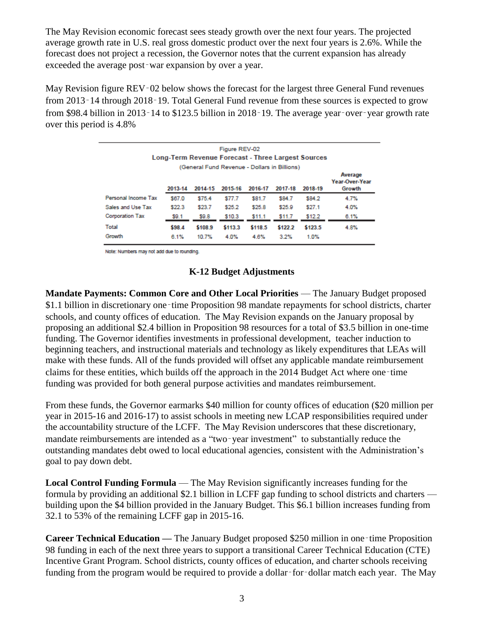The May Revision economic forecast sees steady growth over the next four years. The projected average growth rate in U.S. real gross domestic product over the next four years is 2.6%. While the forecast does not project a recession, the Governor notes that the current expansion has already exceeded the average post‑war expansion by over a year.

May Revision figure REV–02 below shows the forecast for the largest three General Fund revenues from 2013–14 through 2018–19. Total General Fund revenue from these sources is expected to grow from \$98.4 billion in 2013–14 to \$123.5 billion in 2018–19. The average year–over–year growth rate over this period is 4.8%

| Figure REV-02<br>Long-Term Revenue Forecast - Three Largest Sources |         |         |         |         |         |         |                                     |  |  |  |
|---------------------------------------------------------------------|---------|---------|---------|---------|---------|---------|-------------------------------------|--|--|--|
| (General Fund Revenue - Dollars in Billions)                        |         |         |         |         |         |         |                                     |  |  |  |
|                                                                     | 2013-14 | 2014-15 | 2015-16 | 2016-17 | 2017-18 | 2018-19 | Average<br>Year-Over-Year<br>Growth |  |  |  |
| Personal Income Tax                                                 | \$67.0  | \$75.4  | \$77.7  | \$81.7  | \$84.7  | \$84.2  | 4.7%                                |  |  |  |
| Sales and Use Tax                                                   | \$22.3  | \$23.7  | \$25.2  | \$25.8  | \$25.9  | \$27.1  | 4.0%                                |  |  |  |
| Corporation Tax                                                     | \$9.1   | \$9.8   | \$10.3  | \$11.1  | \$11.7  | \$12.2  | 6.1%                                |  |  |  |
| Total                                                               | \$98.4  | \$108.9 | \$113.3 | \$118.5 | \$122.2 | \$123.5 | 4.8%                                |  |  |  |
| Growth                                                              | 6.1%    | 10.7%   | 4.0%    | 4.6%    | 3.2%    | 1.0%    |                                     |  |  |  |

Note: Numbers may not add due to rounding.

# **K-12 Budget Adjustments**

**Mandate Payments: Common Core and Other Local Priorities** — The January Budget proposed \$1.1 billion in discretionary one-time Proposition 98 mandate repayments for school districts, charter schools, and county offices of education. The May Revision expands on the January proposal by proposing an additional \$2.4 billion in Proposition 98 resources for a total of \$3.5 billion in one-time funding. The Governor identifies investments in professional development, teacher induction to beginning teachers, and instructional materials and technology as likely expenditures that LEAs will make with these funds. All of the funds provided will offset any applicable mandate reimbursement claims for these entities, which builds off the approach in the 2014 Budget Act where one‑time funding was provided for both general purpose activities and mandates reimbursement.

From these funds, the Governor earmarks \$40 million for county offices of education (\$20 million per year in 2015-16 and 2016-17) to assist schools in meeting new LCAP responsibilities required under the accountability structure of the LCFF. The May Revision underscores that these discretionary, mandate reimbursements are intended as a "two‑year investment" to substantially reduce the outstanding mandates debt owed to local educational agencies, consistent with the Administration's goal to pay down debt.

**Local Control Funding Formula** — The May Revision significantly increases funding for the formula by providing an additional \$2.1 billion in LCFF gap funding to school districts and charters building upon the \$4 billion provided in the January Budget. This \$6.1 billion increases funding from 32.1 to 53% of the remaining LCFF gap in 2015-16.

**Career Technical Education —** The January Budget proposed \$250 million in one-time Proposition 98 funding in each of the next three years to support a transitional Career Technical Education (CTE) Incentive Grant Program. School districts, county offices of education, and charter schools receiving funding from the program would be required to provide a dollar–for–dollar match each year. The May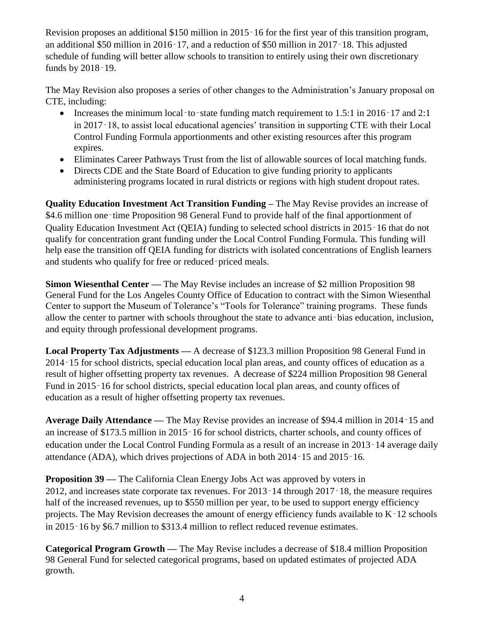Revision proposes an additional \$150 million in 2015‑16 for the first year of this transition program, an additional \$50 million in  $2016 - 17$ , and a reduction of \$50 million in  $2017 - 18$ . This adjusted schedule of funding will better allow schools to transition to entirely using their own discretionary funds by 2018 - 19.

The May Revision also proposes a series of other changes to the Administration's January proposal on CTE, including:

- Increases the minimum local–to–state funding match requirement to 1.5:1 in 2016–17 and 2:1 in 2017‑18, to assist local educational agencies' transition in supporting CTE with their Local Control Funding Formula apportionments and other existing resources after this program expires.
- Eliminates Career Pathways Trust from the list of allowable sources of local matching funds.
- Directs CDE and the State Board of Education to give funding priority to applicants administering programs located in rural districts or regions with high student dropout rates.

**Quality Education Investment Act Transition Funding –** The May Revise provides an increase of \$4.6 million one–time Proposition 98 General Fund to provide half of the final apportionment of Quality Education Investment Act (QEIA) funding to selected school districts in 2015‑16 that do not qualify for concentration grant funding under the Local Control Funding Formula. This funding will help ease the transition off QEIA funding for districts with isolated concentrations of English learners and students who qualify for free or reduced–priced meals.

**Simon Wiesenthal Center —** The May Revise includes an increase of \$2 million Proposition 98 General Fund for the Los Angeles County Office of Education to contract with the Simon Wiesenthal Center to support the Museum of Tolerance's "Tools for Tolerance" training programs. These funds allow the center to partner with schools throughout the state to advance anti‑bias education, inclusion, and equity through professional development programs.

**Local Property Tax Adjustments —** A decrease of \$123.3 million Proposition 98 General Fund in 2014‑15 for school districts, special education local plan areas, and county offices of education as a result of higher offsetting property tax revenues. A decrease of \$224 million Proposition 98 General Fund in 2015‑16 for school districts, special education local plan areas, and county offices of education as a result of higher offsetting property tax revenues.

**Average Daily Attendance —** The May Revise provides an increase of \$94.4 million in 2014‑15 and an increase of \$173.5 million in 2015‑16 for school districts, charter schools, and county offices of education under the Local Control Funding Formula as a result of an increase in 2013‑14 average daily attendance (ADA), which drives projections of ADA in both 2014‑15 and 2015‑16.

**Proposition 39 —** The California Clean Energy Jobs Act was approved by voters in 2012, and increases state corporate tax revenues. For 2013‑14 through 2017‑18, the measure requires half of the increased revenues, up to \$550 million per year, to be used to support energy efficiency projects. The May Revision decreases the amount of energy efficiency funds available to K-12 schools in 2015–16 by \$6.7 million to \$313.4 million to reflect reduced revenue estimates.

**Categorical Program Growth —** The May Revise includes a decrease of \$18.4 million Proposition 98 General Fund for selected categorical programs, based on updated estimates of projected ADA growth.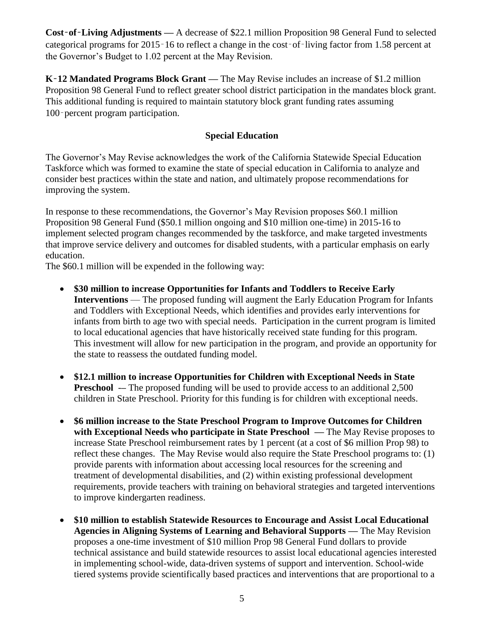**Cost**‑**of**‑**Living Adjustments —** A decrease of \$22.1 million Proposition 98 General Fund to selected categorical programs for 2015‑16 to reflect a change in the cost‑of‑living factor from 1.58 percent at the Governor's Budget to 1.02 percent at the May Revision.

**K**‑**12 Mandated Programs Block Grant —** The May Revise includes an increase of \$1.2 million Proposition 98 General Fund to reflect greater school district participation in the mandates block grant. This additional funding is required to maintain statutory block grant funding rates assuming 100‑percent program participation.

#### **Special Education**

The Governor's May Revise acknowledges the work of the California Statewide Special Education Taskforce which was formed to examine the state of special education in California to analyze and consider best practices within the state and nation, and ultimately propose recommendations for improving the system.

In response to these recommendations, the Governor's May Revision proposes \$60.1 million Proposition 98 General Fund (\$50.1 million ongoing and \$10 million one-time) in 2015-16 to implement selected program changes recommended by the taskforce, and make targeted investments that improve service delivery and outcomes for disabled students, with a particular emphasis on early education.

The \$60.1 million will be expended in the following way:

- **\$30 million to increase Opportunities for Infants and Toddlers to Receive Early Interventions** — The proposed funding will augment the Early Education Program for Infants and Toddlers with Exceptional Needs, which identifies and provides early interventions for infants from birth to age two with special needs. Participation in the current program is limited to local educational agencies that have historically received state funding for this program. This investment will allow for new participation in the program, and provide an opportunity for the state to reassess the outdated funding model.
- **\$12.1 million to increase Opportunities for Children with Exceptional Needs in State Preschool** -- The proposed funding will be used to provide access to an additional 2,500 children in State Preschool. Priority for this funding is for children with exceptional needs.
- **\$6 million increase to the State Preschool Program to Improve Outcomes for Children with Exceptional Needs who participate in State Preschool —** The May Revise proposes to increase State Preschool reimbursement rates by 1 percent (at a cost of \$6 million Prop 98) to reflect these changes. The May Revise would also require the State Preschool programs to: (1) provide parents with information about accessing local resources for the screening and treatment of developmental disabilities, and (2) within existing professional development requirements, provide teachers with training on behavioral strategies and targeted interventions to improve kindergarten readiness.
- **\$10 million to establish Statewide Resources to Encourage and Assist Local Educational Agencies in Aligning Systems of Learning and Behavioral Supports —** The May Revision proposes a one-time investment of \$10 million Prop 98 General Fund dollars to provide technical assistance and build statewide resources to assist local educational agencies interested in implementing school-wide, data-driven systems of support and intervention. School-wide tiered systems provide scientifically based practices and interventions that are proportional to a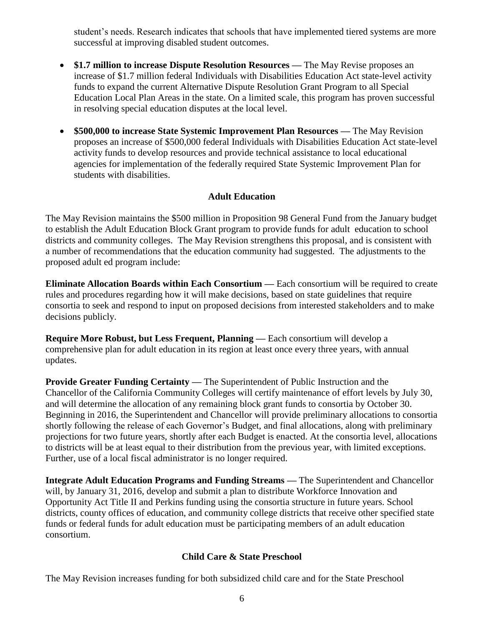student's needs. Research indicates that schools that have implemented tiered systems are more successful at improving disabled student outcomes.

- **\$1.7 million to increase Dispute Resolution Resources —** The May Revise proposes an increase of \$1.7 million federal Individuals with Disabilities Education Act state-level activity funds to expand the current Alternative Dispute Resolution Grant Program to all Special Education Local Plan Areas in the state. On a limited scale, this program has proven successful in resolving special education disputes at the local level.
- **\$500,000 to increase State Systemic Improvement Plan Resources —** The May Revision proposes an increase of \$500,000 federal Individuals with Disabilities Education Act state-level activity funds to develop resources and provide technical assistance to local educational agencies for implementation of the federally required State Systemic Improvement Plan for students with disabilities.

#### **Adult Education**

The May Revision maintains the \$500 million in Proposition 98 General Fund from the January budget to establish the Adult Education Block Grant program to provide funds for adult education to school districts and community colleges. The May Revision strengthens this proposal, and is consistent with a number of recommendations that the education community had suggested. The adjustments to the proposed adult ed program include:

**Eliminate Allocation Boards within Each Consortium —** Each consortium will be required to create rules and procedures regarding how it will make decisions, based on state guidelines that require consortia to seek and respond to input on proposed decisions from interested stakeholders and to make decisions publicly.

**Require More Robust, but Less Frequent, Planning —** Each consortium will develop a comprehensive plan for adult education in its region at least once every three years, with annual updates.

**Provide Greater Funding Certainty —** The Superintendent of Public Instruction and the Chancellor of the California Community Colleges will certify maintenance of effort levels by July 30, and will determine the allocation of any remaining block grant funds to consortia by October 30. Beginning in 2016, the Superintendent and Chancellor will provide preliminary allocations to consortia shortly following the release of each Governor's Budget, and final allocations, along with preliminary projections for two future years, shortly after each Budget is enacted. At the consortia level, allocations to districts will be at least equal to their distribution from the previous year, with limited exceptions. Further, use of a local fiscal administrator is no longer required.

**Integrate Adult Education Programs and Funding Streams —** The Superintendent and Chancellor will, by January 31, 2016, develop and submit a plan to distribute Workforce Innovation and Opportunity Act Title II and Perkins funding using the consortia structure in future years. School districts, county offices of education, and community college districts that receive other specified state funds or federal funds for adult education must be participating members of an adult education consortium.

# **Child Care & State Preschool**

The May Revision increases funding for both subsidized child care and for the State Preschool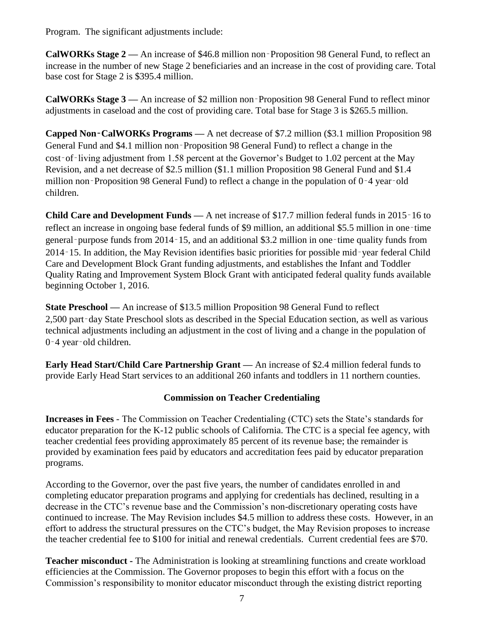Program. The significant adjustments include:

**CalWORKs Stage 2 —** An increase of \$46.8 million non‑Proposition 98 General Fund, to reflect an increase in the number of new Stage 2 beneficiaries and an increase in the cost of providing care. Total base cost for Stage 2 is \$395.4 million.

**CalWORKs Stage 3 —** An increase of \$2 million non‑Proposition 98 General Fund to reflect minor adjustments in caseload and the cost of providing care. Total base for Stage 3 is \$265.5 million.

**Capped Non**‑**CalWORKs Programs —** A net decrease of \$7.2 million (\$3.1 million Proposition 98 General Fund and \$4.1 million non‑Proposition 98 General Fund) to reflect a change in the cost-of-living adjustment from 1.58 percent at the Governor's Budget to 1.02 percent at the May Revision, and a net decrease of \$2.5 million (\$1.1 million Proposition 98 General Fund and \$1.4 million non–Proposition 98 General Fund) to reflect a change in the population of 0–4 year–old children.

**Child Care and Development Funds —** A net increase of \$17.7 million federal funds in 2015‑16 to reflect an increase in ongoing base federal funds of \$9 million, an additional \$5.5 million in one–time general‑purpose funds from 2014‑15, and an additional \$3.2 million in one‑time quality funds from 2014‑15. In addition, the May Revision identifies basic priorities for possible mid‑year federal Child Care and Development Block Grant funding adjustments, and establishes the Infant and Toddler Quality Rating and Improvement System Block Grant with anticipated federal quality funds available beginning October 1, 2016.

**State Preschool —** An increase of \$13.5 million Proposition 98 General Fund to reflect 2,500 part‑day State Preschool slots as described in the Special Education section, as well as various technical adjustments including an adjustment in the cost of living and a change in the population of 0‑4 year‑old children.

**Early Head Start/Child Care Partnership Grant —** An increase of \$2.4 million federal funds to provide Early Head Start services to an additional 260 infants and toddlers in 11 northern counties.

# **Commission on Teacher Credentialing**

**Increases in Fees** - The Commission on Teacher Credentialing (CTC) sets the State's standards for educator preparation for the K-12 public schools of California. The CTC is a special fee agency, with teacher credential fees providing approximately 85 percent of its revenue base; the remainder is provided by examination fees paid by educators and accreditation fees paid by educator preparation programs.

According to the Governor, over the past five years, the number of candidates enrolled in and completing educator preparation programs and applying for credentials has declined, resulting in a decrease in the CTC's revenue base and the Commission's non-discretionary operating costs have continued to increase. The May Revision includes \$4.5 million to address these costs. However, in an effort to address the structural pressures on the CTC's budget, the May Revision proposes to increase the teacher credential fee to \$100 for initial and renewal credentials. Current credential fees are \$70.

**Teacher misconduct -** The Administration is looking at streamlining functions and create workload efficiencies at the Commission. The Governor proposes to begin this effort with a focus on the Commission's responsibility to monitor educator misconduct through the existing district reporting